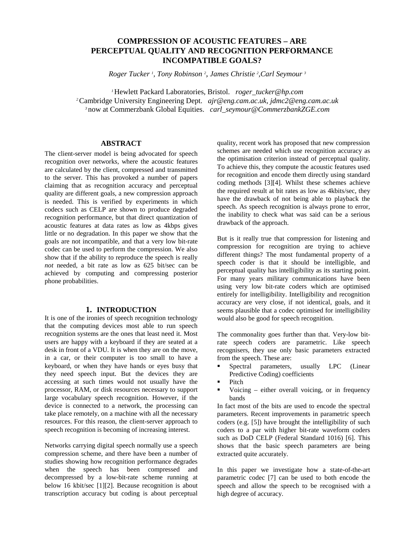# **COMPRESSION OF ACOUSTIC FEATURES – ARE PERCEPTUAL QUALITY AND RECOGNITION PERFORMANCE INCOMPATIBLE GOALS?**

*Roger Tucker 1 , Tony Robinson 2 , James Christie 2 ,Carl Seymour 3*

*<sup>1</sup>*Hewlett Packard Laboratories, Bristol. *roger\_tucker@hp.com <sup>2</sup>*Cambridge University Engineering Dept. *ajr@eng.cam.ac.uk, jdmc2@eng.cam.ac.uk <sup>3</sup>*now at Commerzbank Global Equities. *carl\_seymour@CommerzbankZGE.com*

#### **ABSTRACT**

The client-server model is being advocated for speech recognition over networks, where the acoustic features are calculated by the client, compressed and transmitted to the server. This has provoked a number of papers claiming that as recognition accuracy and perceptual quality are different goals, a new compression approach is needed. This is verified by experiments in which codecs such as CELP are shown to produce degraded recognition performance, but that direct quantization of acoustic features at data rates as low as 4kbps gives little or no degradation. In this paper we show that the goals are not incompatible, and that a very low bit-rate codec can be used to perform the compression. We also show that if the ability to reproduce the speech is really *not* needed, a bit rate as low as 625 bit/sec can be achieved by computing and compressing posterior phone probabilities.

## **1. INTRODUCTION**

It is one of the ironies of speech recognition technology that the computing devices most able to run speech recognition systems are the ones that least need it. Most users are happy with a keyboard if they are seated at a desk in front of a VDU. It is when they are on the move, in a car, or their computer is too small to have a keyboard, or when they have hands or eyes busy that they need speech input. But the devices they are accessing at such times would not usually have the processor, RAM, or disk resources necessary to support large vocabulary speech recognition. However, if the device is connected to a network, the processing can take place remotely, on a machine with all the necessary resources. For this reason, the client-server approach to speech recognition is becoming of increasing interest.

Networks carrying digital speech normally use a speech compression scheme, and there have been a number of studies showing how recognition performance degrades when the speech has been compressed and decompressed by a low-bit-rate scheme running at below 16 kbit/sec [1][2]. Because recognition is about transcription accuracy but coding is about perceptual

quality, recent work has proposed that new compression schemes are needed which use recognition accuracy as the optimisation criterion instead of perceptual quality. To achieve this, they compute the acoustic features used for recognition and encode them directly using standard coding methods [3][4]. Whilst these schemes achieve the required result at bit rates as low as 4kbits/sec, they have the drawback of not being able to playback the speech. As speech recognition is always prone to error, the inability to check what was said can be a serious drawback of the approach.

But is it really true that compression for listening and compression for recognition are trying to achieve different things? The most fundamental property of a speech coder is that it should be intelligible, and perceptual quality has intelligibility as its starting point. For many years military communications have been using very low bit-rate coders which are optimised entirely for intelligibility. Intelligibility and recognition accuracy are very close, if not identical, goals, and it seems plausible that a codec optimised for intelligibility would also be good for speech recognition.

The commonality goes further than that. Very-low bitrate speech coders are parametric. Like speech recognisers, they use only basic parameters extracted from the speech. These are:<br>Spectral parameters,

- **Spectral parameters, usually LPC** (Linear Predictive Coding) coefficients
- Pitch
- Voicing either overall voicing, or in frequency bands

In fact most of the bits are used to encode the spectral parameters. Recent improvements in parametric speech coders (e.g. [5]) have brought the intelligibility of such coders to a par with higher bit-rate waveform coders such as DoD CELP (Federal Standard 1016) [6]. This shows that the basic speech parameters are being extracted quite accurately.

In this paper we investigate how a state-of-the-art parametric codec [7] can be used to both encode the speech and allow the speech to be recognised with a high degree of accuracy.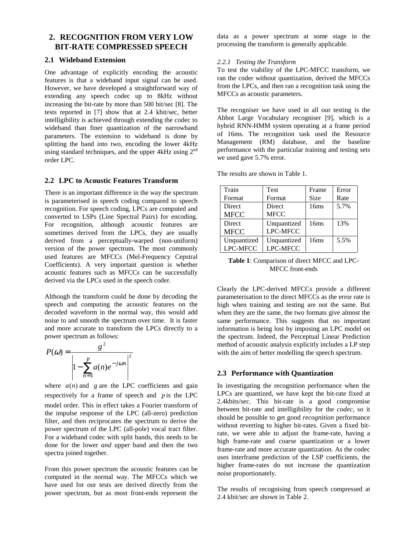## **2. RECOGNITION FROM VERY LOW BIT-RATE COMPRESSED SPEECH**

#### **2.1 Wideband Extension**

One advantage of explicitly encoding the acoustic features is that a wideband input signal can be used. However, we have developed a straightforward way of extending any speech codec up to 8kHz without increasing the bit-rate by more than 500 bit/sec [8]. The tests reported in [7] show that at 2.4 kbit/sec, better intelligibility is achieved through extending the codec to wideband than finer quantization of the narrowband parameters. The extension to wideband is done by splitting the band into two, encoding the lower 4kHz using standard techniques, and the upper 4kHz using 2<sup>nd</sup> order LPC.

## **2.2 LPC to Acoustic Features Transform**

There is an important difference in the way the spectrum is parameterised in speech coding compared to speech recognition. For speech coding, LPCs are computed and converted to LSPs (Line Spectral Pairs) for encoding. For recognition, although acoustic features are sometimes derived from the LPCs, they are usually derived from a perceptually-warped (non-uniform) version of the power spectrum. The most commonly used features are MFCCs (Mel-Frequency Cepstral Coefficients). A very important question is whether acoustic features such as MFCCs can be successfully derived via the LPCs used in the speech coder.

Although the transform could be done by decoding the speech and computing the acoustic features on the decoded waveform in the normal way, this would add noise to and smooth the spectrum over time. It is faster and more accurate to transform the LPCs directly to a power spectrum as follows:

$$
P(\omega) = \frac{g^2}{\left|1 - \sum_{n=1}^{p} a(n)e^{-j\omega n}\right|^2}
$$

where  $a(n)$  and  $g$  are the LPC coefficients and gain respectively for a frame of speech and *p* is the LPC model order. This in effect takes a Fourier transform of the impulse response of the LPC (all-zero) prediction filter, and then reciprocates the spectrum to derive the power spectrum of the LPC (all-pole) vocal tract filter. For a wideband codec with split bands, this needs to be done for the lower *and* upper band and then the two spectra joined together.

From this power spectrum the acoustic features can be computed in the normal way. The MFCCs which we have used for our tests are derived directly from the power spectrum, but as most front-ends represent the data as a power spectrum at some stage in the processing the transform is generally applicable.

## *2.2.1 Testing the Transform*

To test the viability of the LPC-MFCC transform, we ran the coder without quantization, derived the MFCCs from the LPCs, and then ran a recognition task using the MFCCs as acoustic parameters.

The recogniser we have used in all our testing is the Abbot Large Vocabulary recogniser [9], which is a hybrid RNN-HMM system operating at a frame period of 16ms. The recognition task used the Resource Management (RM) database, and the baseline performance with the particular training and testing sets we used gave 5.7% error.

| Train       | <b>Test</b>     | Frame       | Error |
|-------------|-----------------|-------------|-------|
| Format      | Format          | <b>Size</b> | Rate  |
| Direct      | <b>Direct</b>   | 16ms        | 5.7%  |
| <b>MFCC</b> | <b>MFCC</b>     |             |       |
| Direct      | Unquantized     | 16ms        | 13%   |
| <b>MFCC</b> | <b>LPC-MFCC</b> |             |       |
| Unquantized | Unquantized     | 16ms        | 5.5%  |
| LPC-MFCC    | LPC-MFCC        |             |       |

The results are shown in Table 1.

#### **Table 1**: Comparison of direct MFCC and LPC-MFCC front-ends

Clearly the LPC-derived MFCCs provide a different parameterisation to the direct MFCCs as the error rate is high when training and testing are not the same. But when they are the same, the two formats give almost the same performance. This suggests that no important information is being lost by imposing an LPC model on the spectrum. Indeed, the Perceptual Linear Prediction method of acoustic analysis explicitly includes a LP step with the aim of better modelling the speech spectrum.

## **2.3 Performance with Quantization**

In investigating the recognition performance when the LPCs are quantized, we have kept the bit-rate fixed at 2.4kbits/sec. This bit-rate is a good compromise between bit-rate and intelligibility for the *codec*, so it should be possible to get good *recognition* performance without reverting to higher bit-rates. Given a fixed bitrate, we were able to adjust the frame-rate, having a high frame-rate and coarse quantization or a lower frame-rate and more accurate quantization. As the codec uses interframe prediction of the LSP coefficients, the higher frame-rates do not increase the quantization noise proportionately.

The results of recognising from speech compressed at 2.4 kbit/sec are shown in Table 2.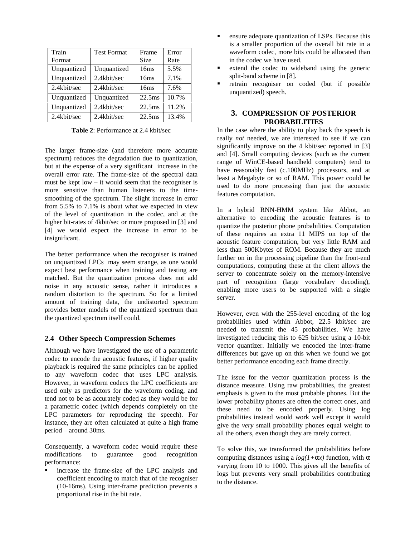| Train       | <b>Test Format</b> | Frame              | Error |
|-------------|--------------------|--------------------|-------|
| Format      |                    | Size               | Rate  |
| Unquantized | Unquantized        | 16ms               | 5.5%  |
| Unquantized | 2.4kbit/sec        | 16ms               | 7.1%  |
| 2.4kbit/sec | 2.4kbit/sec        | 16ms               | 7.6%  |
| Unquantized | Unquantized        | 22.5 <sub>ms</sub> | 10.7% |
| Unquantized | 2.4kbit/sec        | 22.5 <sub>ms</sub> | 11.2% |
| 2.4kbit/sec | 2.4kbit/sec        | 22.5 <sub>ms</sub> | 13.4% |

**Table 2**: Performance at 2.4 kbit/sec

The larger frame-size (and therefore more accurate spectrum) reduces the degradation due to quantization, but at the expense of a very significant increase in the overall error rate. The frame-size of the spectral data must be kept low – it would seem that the recogniser is more sensitive than human listeners to the timesmoothing of the spectrum. The slight increase in error from 5.5% to 7.1% is about what we expected in view of the level of quantization in the codec, and at the higher bit-rates of 4kbit/sec or more proposed in [3] and [4] we would expect the increase in error to be insignificant.

The better performance when the recogniser is trained on unquantized LPCs may seem strange, as one would expect best performance when training and testing are matched. But the quantization process does not add noise in any acoustic sense, rather it introduces a random distortion to the spectrum. So for a limited amount of training data, the undistorted spectrum provides better models of the quantized spectrum than the quantized spectrum itself could.

## **2.4 Other Speech Compression Schemes**

Although we have investigated the use of a parametric codec to encode the acoustic features, if higher quality playback is required the same principles can be applied to any waveform codec that uses LPC analysis. However, in waveform codecs the LPC coefficients are used only as predictors for the waveform coding, and tend not to be as accurately coded as they would be for a parametric codec (which depends completely on the LPC parameters for reproducing the speech). For instance, they are often calculated at quite a high frame period – around 30ms.

Consequently, a waveform codec would require these modifications to guarantee good recognition performance:

 increase the frame-size of the LPC analysis and coefficient encoding to match that of the recogniser (10-16ms). Using inter-frame prediction prevents a proportional rise in the bit rate.

- **EXPERIM** ensure adequate quantization of LSPs. Because this is a smaller proportion of the overall bit rate in a waveform codec, more bits could be allocated than in the codec we have used.
- extend the codec to wideband using the generic split-band scheme in [8].
- retrain recogniser on coded (but if possible unquantized) speech.

## **3. COMPRESSION OF POSTERIOR PROBABILITIES**

In the case where the ability to play back the speech is really *not* needed, we are interested to see if we can significantly improve on the 4 kbit/sec reported in [3] and [4]. Small computing devices (such as the current range of WinCE-based handheld computers) tend to have reasonably fast (c.100MHz) processors, and at least a Megabyte or so of RAM. This power could be used to do more processing than just the acoustic features computation.

In a hybrid RNN-HMM system like Abbot, an alternative to encoding the acoustic features is to quantize the posterior phone probabilities. Computation of these requires an extra 11 MIPS on top of the acoustic feature computation, but very little RAM and less than 500Kbytes of ROM. Because they are much further on in the processing pipeline than the front-end computations, computing these at the client allows the server to concentrate solely on the memory-intensive part of recognition (large vocabulary decoding), enabling more users to be supported with a single server.

However, even with the 255-level encoding of the log probabilities used within Abbot, 22.5 kbit/sec are needed to transmit the 45 probabilities. We have investigated reducing this to 625 bit/sec using a 10-bit vector quantizer. Initially we encoded the inter-frame differences but gave up on this when we found we got better performance encoding each frame directly.

The issue for the vector quantization process is the distance measure. Using raw probabilities, the greatest emphasis is given to the most probable phones. But the lower probability phones are often the correct ones, and these need to be encoded properly. Using log probabilities instead would work well except it would give the *very* small probability phones equal weight to all the others, even though they are rarely correct.

To solve this, we transformed the probabilities before computing distances using a  $log(1+\alpha x)$  function, with  $\alpha$ varying from 10 to 1000. This gives all the benefits of logs but prevents very small probabilities contributing to the distance.